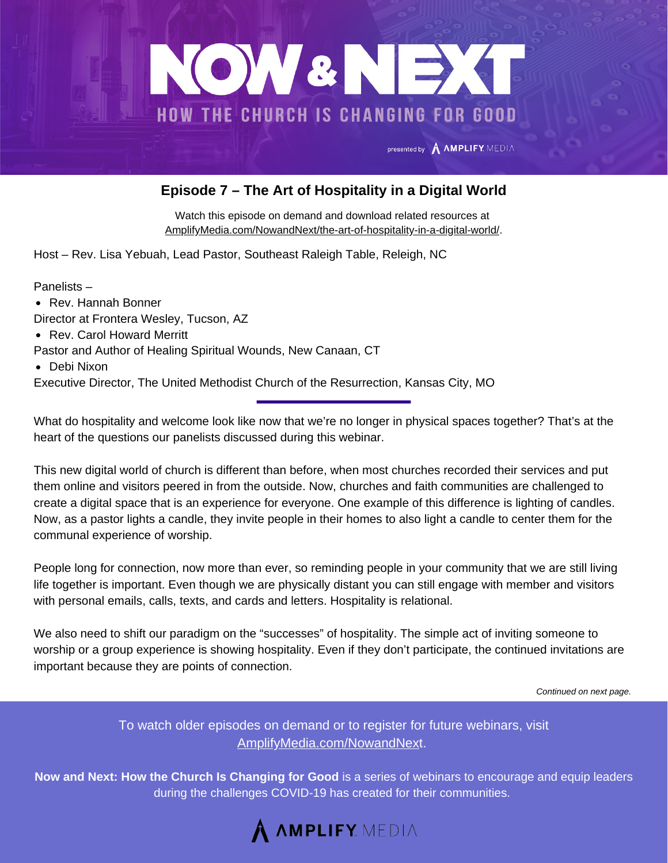

## **Episode 7 – The Art of Hospitality in a Digital World**

Watch this episode on demand and download related resources at [AmplifyMedia.com/NowandNext/the-art-of-hospitality-in-a-digital-world/.](https://amplifymedia.com/nowandnext/the-art-of-hospitality-in-a-digital-world/)

Host – Rev. Lisa Yebuah, Lead Pastor, Southeast Raleigh Table, Releigh, NC

Panelists –

- Rev. Hannah Bonner
- Director at Frontera Wesley, Tucson, AZ
- Rev. Carol Howard Merritt
- Pastor and Author of Healing Spiritual Wounds, New Canaan, CT
- Debi Nixon

Executive Director, The United Methodist Church of the Resurrection, Kansas City, MO

What do hospitality and welcome look like now that we're no longer in physical spaces together? That's at the heart of the questions our panelists discussed during this webinar.

This new digital world of church is different than before, when most churches recorded their services and put them online and visitors peered in from the outside. Now, churches and faith communities are challenged to create a digital space that is an experience for everyone. One example of this difference is lighting of candles. Now, as a pastor lights a candle, they invite people in their homes to also light a candle to center them for the communal experience of worship.

People long for connection, now more than ever, so reminding people in your community that we are still living life together is important. Even though we are physically distant you can still engage with member and visitors with personal emails, calls, texts, and cards and letters. Hospitality is relational.

We also need to shift our paradigm on the "successes" of hospitality. The simple act of inviting someone to worship or a group experience is showing hospitality. Even if they don't participate, the continued invitations are important because they are points of connection.

*Continued on next page.*

To watch older episodes on demand or to register for future webinars, visit [AmplifyMedia.com/NowandNex](https://amplifymedia.com/nowandnext/)t.

**Now and Next: How the Church Is Changing for Good** is a series of webinars to encourage and equip leaders during the challenges COVID-19 has created for their communities.